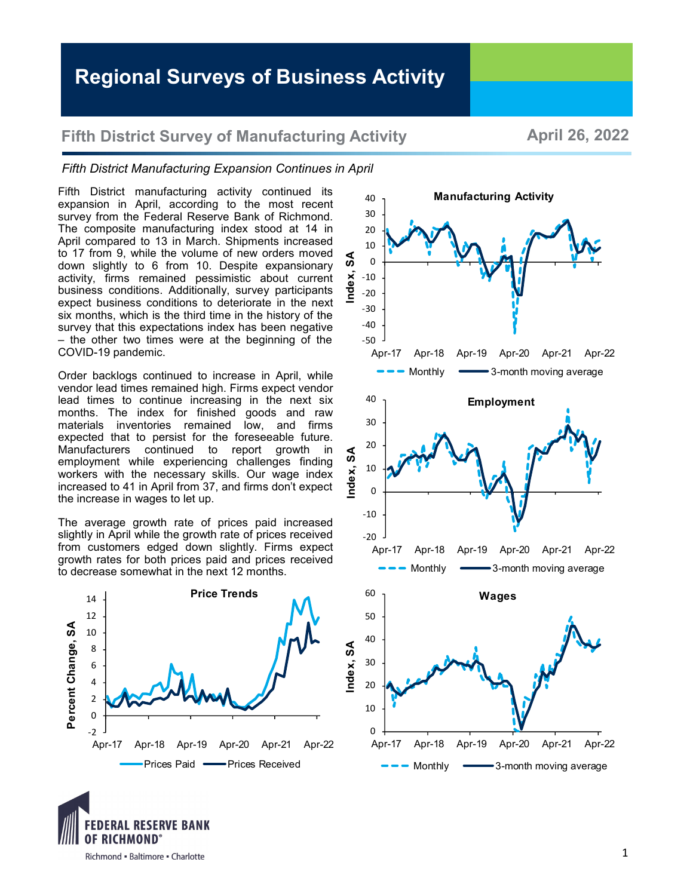## **Fifth District Survey of Manufacturing Activity <b>April 26, 2022**

## *Fifth District Manufacturing Expansion Continues in April*

Fifth District manufacturing activity continued its expansion in April, according to the most recent survey from the Federal Reserve Bank of Richmond. The composite manufacturing index stood at 14 in April compared to 13 in March. Shipments increased to 17 from 9, while the volume of new orders moved down slightly to 6 from 10. Despite expansionary activity, firms remained pessimistic about current business conditions. Additionally, survey participants expect business conditions to deteriorate in the next six months, which is the third time in the history of the survey that this expectations index has been negative – the other two times were at the beginning of the COVID-19 pandemic.

Order backlogs continued to increase in April, while vendor lead times remained high. Firms expect vendor lead times to continue increasing in the next six months. The index for finished goods and raw materials inventories remained low, and firms expected that to persist for the foreseeable future. Manufacturers continued to report growth in employment while experiencing challenges finding workers with the necessary skills. Our wage index increased to 41 in April from 37, and firms don't expect the increase in wages to let up.

The average growth rate of prices paid increased slightly in April while the growth rate of prices received from customers edged down slightly. Firms expect growth rates for both prices paid and prices received to decrease somewhat in the next 12 months.